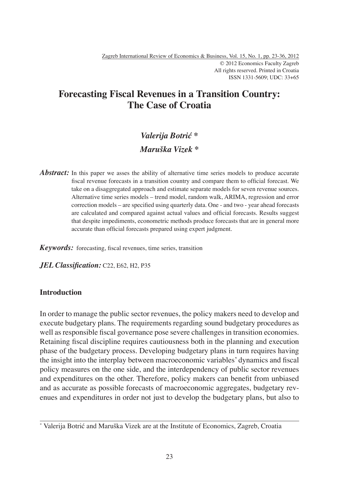## **Forecasting Fiscal Revenues in a Transition Country: The Case of Croatia**

# *Valerija Botrić \* Maruška Vizek \**

*Abstract:* In this paper we asses the ability of alternative time series models to produce accurate fiscal revenue forecasts in a transition country and compare them to official forecast. We take on a disaggregated approach and estimate separate models for seven revenue sources. Alternative time series models – trend model, random walk, ARIMA, regression and error correction models – are specified using quarterly data. One - and two - year ahead forecasts are calculated and compared against actual values and official forecasts. Results suggest that despite impediments, econometric methods produce forecasts that are in general more accurate than official forecasts prepared using expert judgment.

*Keywords:* forecasting, fiscal revenues, time series, transition

JEL Classification: C22, E62, H2, P35

### **Introduction**

In order to manage the public sector revenues, the policy makers need to develop and execute budgetary plans. The requirements regarding sound budgetary procedures as well as responsible fiscal governance pose severe challenges in transition economies. Retaining fiscal discipline requires cautiousness both in the planning and execution phase of the budgetary process. Developing budgetary plans in turn requires having the insight into the interplay between macroeconomic variables' dynamics and fiscal policy measures on the one side, and the interdependency of public sector revenues and expenditures on the other. Therefore, policy makers can benefit from unbiased and as accurate as possible forecasts of macroeconomic aggregates, budgetary revenues and expenditures in order not just to develop the budgetary plans, but also to

<sup>\*</sup> Valerija Botrić and Maruška Vizek are at the Institute of Economics, Zagreb, Croatia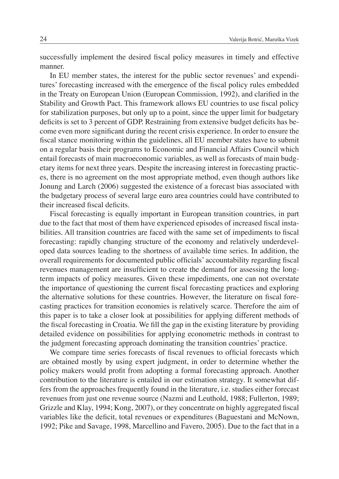successfully implement the desired fiscal policy measures in timely and effective manner.

In EU member states, the interest for the public sector revenues' and expenditures' forecasting increased with the emergence of the fiscal policy rules embedded in the Treaty on European Union (European Commission, 1992), and clarified in the Stability and Growth Pact. This framework allows EU countries to use fiscal policy for stabilization purposes, but only up to a point, since the upper limit for budgetary deficits is set to 3 percent of GDP. Restraining from extensive budget deficits has become even more significant during the recent crisis experience. In order to ensure the fiscal stance monitoring within the guidelines, all EU member states have to submit on a regular basis their programs to Economic and Financial Affairs Council which entail forecasts of main macroeconomic variables, as well as forecasts of main budgetary items for next three years. Despite the increasing interest in forecasting practices, there is no agreement on the most appropriate method, even though authors like Jonung and Larch (2006) suggested the existence of a forecast bias associated with the budgetary process of several large euro area countries could have contributed to their increased fiscal deficits.

Fiscal forecasting is equally important in European transition countries, in part due to the fact that most of them have experienced episodes of increased fiscal instabilities. All transition countries are faced with the same set of impediments to fiscal forecasting: rapidly changing structure of the economy and relatively underdeveloped data sources leading to the shortness of available time series. In addition, the overall requirements for documented public officials' accountability regarding fiscal revenues management are insufficient to create the demand for assessing the longterm impacts of policy measures. Given these impediments, one can not overstate the importance of questioning the current fiscal forecasting practices and exploring the alternative solutions for these countries. However, the literature on fiscal forecasting practices for transition economies is relatively scarce. Therefore the aim of this paper is to take a closer look at possibilities for applying different methods of the fiscal forecasting in Croatia. We fill the gap in the existing literature by providing detailed evidence on possibilities for applying econometric methods in contrast to the judgment forecasting approach dominating the transition countries' practice.

We compare time series forecasts of fiscal revenues to official forecasts which are obtained mostly by using expert judgment, in order to determine whether the policy makers would profit from adopting a formal forecasting approach. Another contribution to the literature is entailed in our estimation strategy. It somewhat differs from the approaches frequently found in the literature, i.e. studies either forecast revenues from just one revenue source (Nazmi and Leuthold, 1988; Fullerton, 1989; Grizzle and Klay, 1994; Kong, 2007), or they concentrate on highly aggregated fiscal variables like the deficit, total revenues or expenditures (Baguestani and McNown, 1992; Pike and Savage, 1998, Marcellino and Favero, 2005). Due to the fact that in a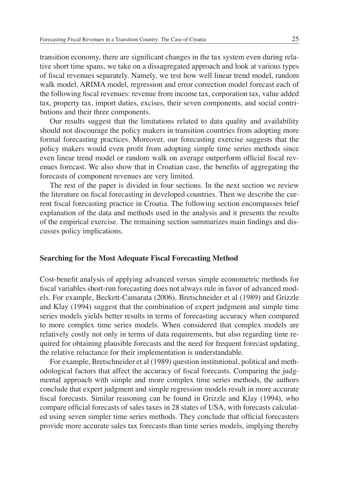transition economy, there are significant changes in the tax system even during relative short time spans, we take on a dissagregated approach and look at various types of fiscal revenues separately. Namely, we test how well linear trend model, random walk model, ARIMA model, regression and error correction model forecast each of the following fiscal revenues: revenue from income tax, corporation tax, value added tax, property tax, import duties, excises, their seven components, and social contributions and their three components.

Our results suggest that the limitations related to data quality and availability should not discourage the policy makers in transition countries from adopting more formal forecasting practices. Moreover, our forecasting exercise suggests that the policy makers would even profit from adopting simple time series methods since even linear trend model or random walk on average outperform official fiscal revenues forecast. We also show that in Croatian case, the benefits of aggregating the forecasts of component revenues are very limited.

The rest of the paper is divided in four sections. In the next section we review the literature on fiscal forecasting in developed countries. Then we describe the current fiscal forecasting practice in Croatia. The following section encompasses brief explanation of the data and methods used in the analysis and it presents the results of the empirical exercise. The remaining section summarizes main findings and discusses policy implications.

#### **Searching for the Most Adequate Fiscal Forecasting Method**

Cost-benefi t analysis of applying advanced versus simple econometric methods for fiscal variables short-run forecasting does not always rule in favor of advanced models. For example, Beckett-Camarata (2006), Bretschneider et al (1989) and Grizzle and Klay (1994) suggest that the combination of expert judgment and simple time series models yields better results in terms of forecasting accuracy when compared to more complex time series models. When considered that complex models are relatively costly not only in terms of data requirements, but also regarding time required for obtaining plausible forecasts and the need for frequent forecast updating, the relative reluctance for their implementation is understandable.

For example, Bretschneider et al (1989) question institutional, political and methodological factors that affect the accuracy of fiscal forecasts. Comparing the judgmental approach with simple and more complex time series methods, the authors conclude that expert judgment and simple regression models result in more accurate fiscal forecasts. Similar reasoning can be found in Grizzle and Klay (1994), who compare official forecasts of sales taxes in 28 states of USA, with forecasts calculated using seven simpler time series methods. They conclude that official forecasters provide more accurate sales tax forecasts than time series models, implying thereby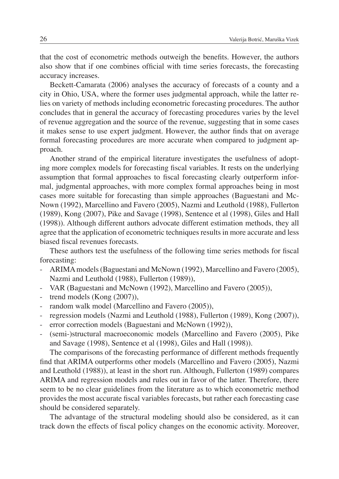that the cost of econometric methods outweigh the benefits. However, the authors also show that if one combines official with time series forecasts, the forecasting accuracy increases.

Beckett-Camarata (2006) analyses the accuracy of forecasts of a county and a city in Ohio, USA, where the former uses judgmental approach, while the latter relies on variety of methods including econometric forecasting procedures. The author concludes that in general the accuracy of forecasting procedures varies by the level of revenue aggregation and the source of the revenue, suggesting that in some cases it makes sense to use expert judgment. However, the author finds that on average formal forecasting procedures are more accurate when compared to judgment approach.

Another strand of the empirical literature investigates the usefulness of adopting more complex models for forecasting fiscal variables. It rests on the underlying assumption that formal approaches to fiscal forecasting clearly outperform informal, judgmental approaches, with more complex formal approaches being in most cases more suitable for forecasting than simple approaches (Baguestani and Mc-Nown (1992), Marcellino and Favero (2005), Nazmi and Leuthold (1988), Fullerton (1989), Kong (2007), Pike and Savage (1998), Sentence et al (1998), Giles and Hall (1998)). Although different authors advocate different estimation methods, they all agree that the application of econometric techniques results in more accurate and less biased fiscal revenues forecasts.

These authors test the usefulness of the following time series methods for fiscal forecasting:

- ARIMA models (Baguestani and McNown (1992), Marcellino and Favero (2005), Nazmi and Leuthold (1988), Fullerton (1989)),
- VAR (Baguestani and McNown (1992), Marcellino and Favero (2005)),
- trend models (Kong (2007)),
- random walk model (Marcellino and Favero (2005)),
- regression models (Nazmi and Leuthold (1988), Fullerton (1989), Kong (2007)),
- error correction models (Baguestani and McNown (1992)),
- (semi-)structural macroeconomic models (Marcellino and Favero (2005), Pike and Savage (1998), Sentence et al (1998), Giles and Hall (1998)).

The comparisons of the forecasting performance of different methods frequently find that ARIMA outperforms other models (Marcellino and Favero (2005), Nazmi and Leuthold (1988)), at least in the short run. Although, Fullerton (1989) compares ARIMA and regression models and rules out in favor of the latter. Therefore, there seem to be no clear guidelines from the literature as to which econometric method provides the most accurate fiscal variables forecasts, but rather each forecasting case should be considered separately.

The advantage of the structural modeling should also be considered, as it can track down the effects of fiscal policy changes on the economic activity. Moreover,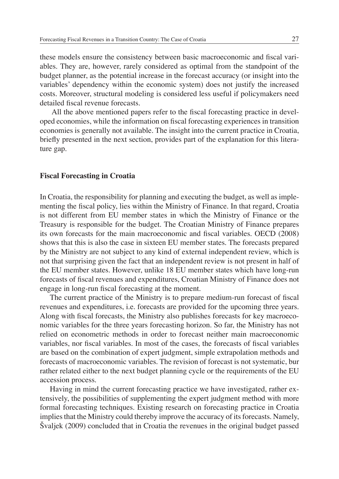these models ensure the consistency between basic macroeconomic and fiscal variables. They are, however, rarely considered as optimal from the standpoint of the budget planner, as the potential increase in the forecast accuracy (or insight into the variables' dependency within the economic system) does not justify the increased costs. Moreover, structural modeling is considered less useful if policymakers need detailed fiscal revenue forecasts.

All the above mentioned papers refer to the fiscal forecasting practice in developed economies, while the information on fiscal forecasting experiences in transition economies is generally not available. The insight into the current practice in Croatia, briefly presented in the next section, provides part of the explanation for this literature gap.

#### **Fiscal Forecasting in Croatia**

In Croatia, the responsibility for planning and executing the budget, as well as implementing the fiscal policy, lies within the Ministry of Finance. In that regard, Croatia is not different from EU member states in which the Ministry of Finance or the Treasury is responsible for the budget. The Croatian Ministry of Finance prepares its own forecasts for the main macroeconomic and fiscal variables. OECD (2008) shows that this is also the case in sixteen EU member states. The forecasts prepared by the Ministry are not subject to any kind of external independent review, which is not that surprising given the fact that an independent review is not present in half of the EU member states. However, unlike 18 EU member states which have long-run forecasts of fiscal revenues and expenditures, Croatian Ministry of Finance does not engage in long-run fiscal forecasting at the moment.

The current practice of the Ministry is to prepare medium-run forecast of fiscal revenues and expenditures, i.e. forecasts are provided for the upcoming three years. Along with fiscal forecasts, the Ministry also publishes forecasts for key macroeconomic variables for the three years forecasting horizon. So far, the Ministry has not relied on econometric methods in order to forecast neither main macroeconomic variables, nor fiscal variables. In most of the cases, the forecasts of fiscal variables are based on the combination of expert judgment, simple extrapolation methods and forecasts of macroeconomic variables. The revision of forecast is not systematic, bur rather related either to the next budget planning cycle or the requirements of the EU accession process.

Having in mind the current forecasting practice we have investigated, rather extensively, the possibilities of supplementing the expert judgment method with more formal forecasting techniques. Existing research on forecasting practice in Croatia implies that the Ministry could thereby improve the accuracy of its forecasts. Namely, Švaljek (2009) concluded that in Croatia the revenues in the original budget passed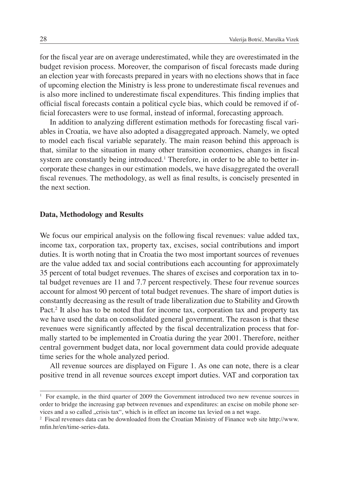for the fiscal year are on average underestimated, while they are overestimated in the budget revision process. Moreover, the comparison of fiscal forecasts made during an election year with forecasts prepared in years with no elections shows that in face of upcoming election the Ministry is less prone to underestimate fiscal revenues and is also more inclined to underestimate fiscal expenditures. This finding implies that official fiscal forecasts contain a political cycle bias, which could be removed if official forecasters were to use formal, instead of informal, forecasting approach.

In addition to analyzing different estimation methods for forecasting fiscal variables in Croatia, we have also adopted a disaggregated approach. Namely, we opted to model each fiscal variable separately. The main reason behind this approach is that, similar to the situation in many other transition economies, changes in fiscal system are constantly being introduced.<sup>1</sup> Therefore, in order to be able to better incorporate these changes in our estimation models, we have disaggregated the overall fiscal revenues. The methodology, as well as final results, is concisely presented in the next section.

#### **Data, Methodology and Results**

We focus our empirical analysis on the following fiscal revenues: value added tax, income tax, corporation tax, property tax, excises, social contributions and import duties. It is worth noting that in Croatia the two most important sources of revenues are the value added tax and social contributions each accounting for approximately 35 percent of total budget revenues. The shares of excises and corporation tax in total budget revenues are 11 and 7.7 percent respectively. These four revenue sources account for almost 90 percent of total budget revenues. The share of import duties is constantly decreasing as the result of trade liberalization due to Stability and Growth Pact.<sup>2</sup> It also has to be noted that for income tax, corporation tax and property tax we have used the data on consolidated general government. The reason is that these revenues were significantly affected by the fiscal decentralization process that formally started to be implemented in Croatia during the year 2001. Therefore, neither central government budget data, nor local government data could provide adequate time series for the whole analyzed period.

All revenue sources are displayed on Figure 1. As one can note, there is a clear positive trend in all revenue sources except import duties. VAT and corporation tax

<sup>&</sup>lt;sup>1</sup> For example, in the third quarter of 2009 the Government introduced two new revenue sources in order to bridge the increasing gap between revenues and expenditures: an excise on mobile phone services and a so called "crisis tax", which is in effect an income tax levied on a net wage.

<sup>2</sup> Fiscal revenues data can be downloaded from the Croatian Ministry of Finance web site http://www. mfin.hr/en/time-series-data.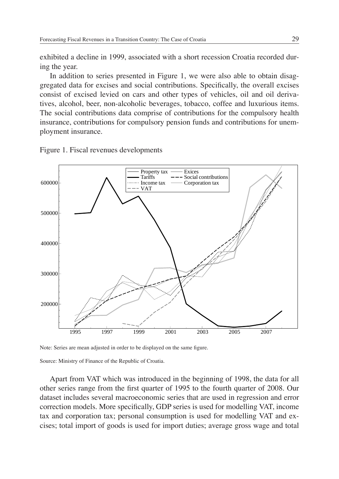exhibited a decline in 1999, associated with a short recession Croatia recorded during the year.

In addition to series presented in Figure 1, we were also able to obtain disaggregated data for excises and social contributions. Specifically, the overall excises consist of excised levied on cars and other types of vehicles, oil and oil derivatives, alcohol, beer, non-alcoholic beverages, tobacco, coffee and luxurious items. The social contributions data comprise of contributions for the compulsory health insurance, contributions for compulsory pension funds and contributions for unemployment insurance.

Figure 1. Fiscal revenues developments



Note: Series are mean adjusted in order to be displayed on the same figure.

Source: Ministry of Finance of the Republic of Croatia.

Apart from VAT which was introduced in the beginning of 1998, the data for all other series range from the first quarter of 1995 to the fourth quarter of 2008. Our dataset includes several macroeconomic series that are used in regression and error correction models. More specifically, GDP series is used for modelling VAT, income tax and corporation tax; personal consumption is used for modelling VAT and excises; total import of goods is used for import duties; average gross wage and total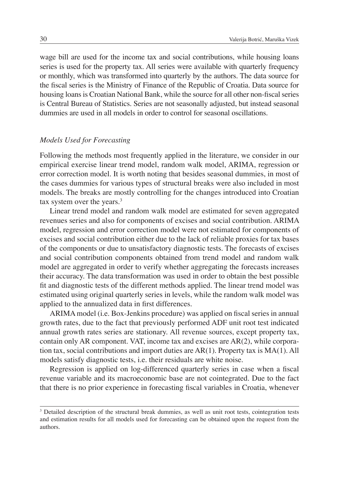wage bill are used for the income tax and social contributions, while housing loans series is used for the property tax. All series were available with quarterly frequency or monthly, which was transformed into quarterly by the authors. The data source for the fiscal series is the Ministry of Finance of the Republic of Croatia. Data source for housing loans is Croatian National Bank, while the source for all other non-fiscal series is Central Bureau of Statistics. Series are not seasonally adjusted, but instead seasonal dummies are used in all models in order to control for seasonal oscillations.

#### *Models Used for Forecasting*

Following the methods most frequently applied in the literature, we consider in our empirical exercise linear trend model, random walk model, ARIMA, regression or error correction model. It is worth noting that besides seasonal dummies, in most of the cases dummies for various types of structural breaks were also included in most models. The breaks are mostly controlling for the changes introduced into Croatian tax system over the years. $3$ 

Linear trend model and random walk model are estimated for seven aggregated revenues series and also for components of excises and social contribution. ARIMA model, regression and error correction model were not estimated for components of excises and social contribution either due to the lack of reliable proxies for tax bases of the components or due to unsatisfactory diagnostic tests. The forecasts of excises and social contribution components obtained from trend model and random walk model are aggregated in order to verify whether aggregating the forecasts increases their accuracy. The data transformation was used in order to obtain the best possible fit and diagnostic tests of the different methods applied. The linear trend model was estimated using original quarterly series in levels, while the random walk model was applied to the annualized data in first differences.

ARIMA model (i.e. Box-Jenkins procedure) was applied on fiscal series in annual growth rates, due to the fact that previously performed ADF unit root test indicated annual growth rates series are stationary. All revenue sources, except property tax, contain only AR component. VAT, income tax and excises are AR(2), while corporation tax, social contributions and import duties are  $AR(1)$ . Property tax is  $MA(1)$ . All models satisfy diagnostic tests, i.e. their residuals are white noise.

Regression is applied on log-differenced quarterly series in case when a fiscal revenue variable and its macroeconomic base are not cointegrated. Due to the fact that there is no prior experience in forecasting fiscal variables in Croatia, whenever

<sup>&</sup>lt;sup>3</sup> Detailed description of the structural break dummies, as well as unit root tests, cointegration tests and estimation results for all models used for forecasting can be obtained upon the request from the authors.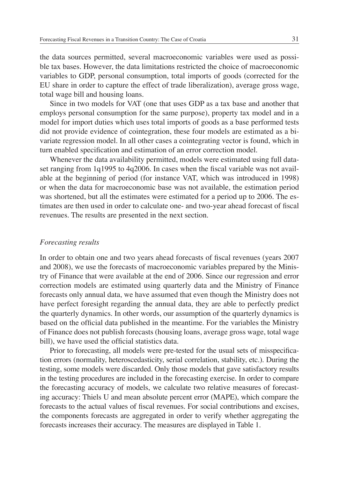the data sources permitted, several macroeconomic variables were used as possible tax bases. However, the data limitations restricted the choice of macroeconomic variables to GDP, personal consumption, total imports of goods (corrected for the EU share in order to capture the effect of trade liberalization), average gross wage, total wage bill and housing loans.

Since in two models for VAT (one that uses GDP as a tax base and another that employs personal consumption for the same purpose), property tax model and in a model for import duties which uses total imports of goods as a base performed tests did not provide evidence of cointegration, these four models are estimated as a bivariate regression model. In all other cases a cointegrating vector is found, which in turn enabled specification and estimation of an error correction model.

Whenever the data availability permitted, models were estimated using full dataset ranging from  $1q1995$  to  $4q2006$ . In cases when the fiscal variable was not available at the beginning of period (for instance VAT, which was introduced in 1998) or when the data for macroeconomic base was not available, the estimation period was shortened, but all the estimates were estimated for a period up to 2006. The estimates are then used in order to calculate one- and two-year ahead forecast of fiscal revenues. The results are presented in the next section.

#### *Forecasting results*

In order to obtain one and two years ahead forecasts of fiscal revenues (years 2007) and 2008), we use the forecasts of macroeconomic variables prepared by the Ministry of Finance that were available at the end of 2006. Since our regression and error correction models are estimated using quarterly data and the Ministry of Finance forecasts only annual data, we have assumed that even though the Ministry does not have perfect foresight regarding the annual data, they are able to perfectly predict the quarterly dynamics. In other words, our assumption of the quarterly dynamics is based on the official data published in the meantime. For the variables the Ministry of Finance does not publish forecasts (housing loans, average gross wage, total wage bill), we have used the official statistics data.

Prior to forecasting, all models were pre-tested for the usual sets of misspecification errors (normality, heteroscedasticity, serial correlation, stability, etc.). During the testing, some models were discarded. Only those models that gave satisfactory results in the testing procedures are included in the forecasting exercise. In order to compare the forecasting accuracy of models, we calculate two relative measures of forecasting accuracy: Thiels U and mean absolute percent error (MAPE), which compare the forecasts to the actual values of fiscal revenues. For social contributions and excises, the components forecasts are aggregated in order to verify whether aggregating the forecasts increases their accuracy. The measures are displayed in Table 1.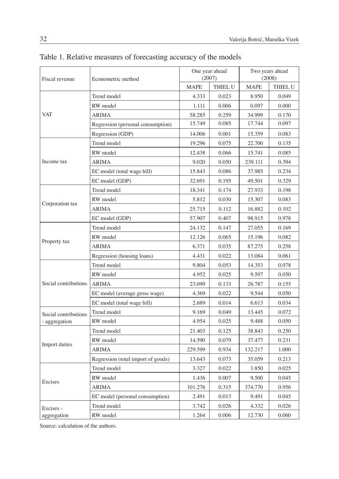| Fiscal revenue       | Econometric method                 | One year ahead<br>(2007) |                | Two years ahead<br>(2008) |                |
|----------------------|------------------------------------|--------------------------|----------------|---------------------------|----------------|
|                      |                                    | <b>MAPE</b>              | <b>THIEL U</b> | <b>MAPE</b>               | <b>THIEL U</b> |
| <b>VAT</b>           | Trend model                        | 4.333                    | 0.023          | 8.950                     | 0.049          |
|                      | RW model                           | 1.111                    | 0.006          | 0.097                     | 0.000          |
|                      | <b>ARIMA</b>                       | 58.285                   | 0.259          | 34.999                    | 0.170          |
|                      | Regression (personal consumption)  | 15.749                   | 0.085          | 17.744                    | 0.097          |
|                      | Regression (GDP)                   | 14.006                   | 0.001          | 15.359                    | 0.083          |
| Income tax           | Trend model                        | 19.296                   | 0.075          | 22.700                    | 0.135          |
|                      | RW model                           | 12.438                   | 0.066          | 15.741                    | 0.085          |
|                      | <b>ARIMA</b>                       | 9.020                    | 0.050          | 239.111                   | 0.394          |
|                      | EC model (total wage bill)         | 15.843                   | 0.086          | 37.985                    | 0.234          |
|                      | EC model (GDP)                     | 32.691                   | 0.195          | 49.501                    | 0.329          |
| Corporation tax      | Trend model                        | 18.341                   | 0.174          | 27.933                    | 0.198          |
|                      | RW model                           | 5.812                    | 0.030          | 15.307                    | 0.083          |
|                      | <b>ARIMA</b>                       | 25.715                   | 0.112          | 16.882                    | 0.102          |
|                      | EC model (GDP)                     | 57.907                   | 0.407          | 98.915                    | 0.978          |
|                      | Trend model                        | 24.132                   | 0.147          | 27.055                    | 0.169          |
| Property tax         | RW model                           | 12.126                   | 0.065          | 15.196                    | 0.082          |
|                      | ARIMA                              | 6.371                    | 0.035          | 87.275                    | 0.258          |
|                      | Regression (housing loans)         | 4.431                    | 0.022          | 13.084                    | 0.061          |
| Social contributions | Trend model                        | 9.804                    | 0.053          | 14.353                    | 0.078          |
|                      | RW model                           | 4.952                    | 0.025          | 9.597                     | 0.050          |
|                      | <b>ARIMA</b>                       | 23.099                   | 0.133          | 26.787                    | 0.155          |
|                      | EC model (average gross wage)      | 4.369                    | 0.022          | 9.544                     | 0.050          |
|                      | EC model (total wage bill)         | 2.689                    | 0.014          | 6.613                     | 0.034          |
| Social contributions | Trend model                        | 9.169                    | 0.049          | 13.445                    | 0.072          |
| - aggregation        | RW model                           | 4.954                    | 0.025          | 9.488                     | 0.050          |
| Import duties        | Trend model                        | 21.403                   | 0.125          | 38.843                    | 0.250          |
|                      | RW model                           | 14.590                   | 0.079          | 37.477                    | 0.231          |
|                      | <b>ARIMA</b>                       | 229.599                  | 0.934          | 132.217                   | 1.000          |
|                      | Regression (total import of goods) | 13.643                   | 0.073          | 35.059                    | 0.213          |
| Excises              | Trend model                        | 3.327                    | 0.022          | 3.850                     | 0.025          |
|                      | RW model                           | 1.436                    | 0.007          | 9.500                     | 0.045          |
|                      | ARIMA                              | 101.276                  | 0.315          | 374.770                   | 0.956          |
|                      | EC model (personal consumption)    | 2.491                    | 0.013          | 9.491                     | 0.045          |
| Excises -            | Trend model                        | 3.742                    | 0.026          | 4.332                     | 0.026          |
| aggregation          | RW model                           | 1.264                    | 0.006          | 12.730                    | 0.060          |

Table 1. Relative measures of forecasting accuracy of the models

Source: calculation of the authors.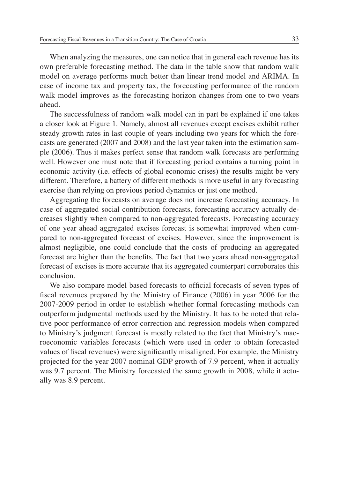When analyzing the measures, one can notice that in general each revenue has its own preferable forecasting method. The data in the table show that random walk model on average performs much better than linear trend model and ARIMA. In case of income tax and property tax, the forecasting performance of the random walk model improves as the forecasting horizon changes from one to two years ahead.

The successfulness of random walk model can in part be explained if one takes a closer look at Figure 1. Namely, almost all revenues except excises exhibit rather steady growth rates in last couple of years including two years for which the forecasts are generated (2007 and 2008) and the last year taken into the estimation sample (2006). Thus it makes perfect sense that random walk forecasts are performing well. However one must note that if forecasting period contains a turning point in economic activity (i.e. effects of global economic crises) the results might be very different. Therefore, a battery of different methods is more useful in any forecasting exercise than relying on previous period dynamics or just one method.

Aggregating the forecasts on average does not increase forecasting accuracy. In case of aggregated social contribution forecasts, forecasting accuracy actually decreases slightly when compared to non-aggregated forecasts. Forecasting accuracy of one year ahead aggregated excises forecast is somewhat improved when compared to non-aggregated forecast of excises. However, since the improvement is almost negligible, one could conclude that the costs of producing an aggregated forecast are higher than the benefits. The fact that two years ahead non-aggregated forecast of excises is more accurate that its aggregated counterpart corroborates this conclusion.

We also compare model based forecasts to official forecasts of seven types of fiscal revenues prepared by the Ministry of Finance (2006) in year 2006 for the 2007-2009 period in order to establish whether formal forecasting methods can outperform judgmental methods used by the Ministry. It has to be noted that relative poor performance of error correction and regression models when compared to Ministry's judgment forecast is mostly related to the fact that Ministry's macroeconomic variables forecasts (which were used in order to obtain forecasted values of fiscal revenues) were significantly misaligned. For example, the Ministry projected for the year 2007 nominal GDP growth of 7.9 percent, when it actually was 9.7 percent. The Ministry forecasted the same growth in 2008, while it actually was 8.9 percent.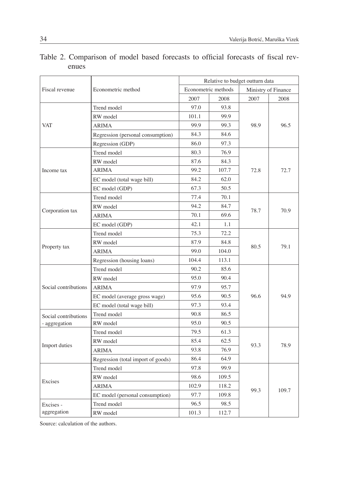| Fiscal revenue       | Econometric method                 | Relative to budget outturn data |       |                     |       |
|----------------------|------------------------------------|---------------------------------|-------|---------------------|-------|
|                      |                                    | Econometric methods             |       | Ministry of Finance |       |
|                      |                                    | 2007                            | 2008  | 2007                | 2008  |
| <b>VAT</b>           | Trend model                        | 97.0                            | 93.8  | 98.9                | 96.5  |
|                      | RW model                           | 101.1                           | 99.9  |                     |       |
|                      | <b>ARIMA</b>                       | 99.9                            | 99.3  |                     |       |
|                      | Regression (personal consumption)  | 84.3                            | 84.6  |                     |       |
|                      | Regression (GDP)                   | 86.0                            | 97.3  |                     |       |
|                      | Trend model                        | 80.3                            | 76.9  | 72.8                | 72.7  |
|                      | RW model                           | 87.6                            | 84.3  |                     |       |
| Income tax           | <b>ARIMA</b>                       | 99.2                            | 107.7 |                     |       |
|                      | EC model (total wage bill)         | 84.2                            | 62.0  |                     |       |
|                      | EC model (GDP)                     | 67.3                            | 50.5  |                     |       |
|                      | Trend model                        | 77.4                            | 70.1  | 78.7                | 70.9  |
| Corporation tax      | RW model                           | 94.2                            | 84.7  |                     |       |
|                      | <b>ARIMA</b>                       | 70.1                            | 69.6  |                     |       |
|                      | EC model (GDP)                     | 42.1                            | 1.1   |                     |       |
| Property tax         | Trend model                        | 75.3                            | 72.2  | 80.5                | 79.1  |
|                      | RW model                           | 87.9                            | 84.8  |                     |       |
|                      | <b>ARIMA</b>                       | 99.0                            | 104.0 |                     |       |
|                      | Regression (housing loans)         | 104.4                           | 113.1 |                     |       |
| Social contributions | Trend model                        | 90.2                            | 85.6  | 96.6                | 94.9  |
|                      | RW model                           | 95.0                            | 90.4  |                     |       |
|                      | <b>ARIMA</b>                       | 97.9                            | 95.7  |                     |       |
|                      | EC model (average gross wage)      | 95.6                            | 90.5  |                     |       |
|                      | EC model (total wage bill)         | 97.3                            | 93.4  |                     |       |
| Social contributions | Trend model                        | 90.8                            | 86.5  |                     |       |
| - aggregation        | RW model                           | 95.0                            | 90.5  |                     |       |
| Import duties        | Trend model                        | 79.5                            | 61.3  | 93.3                | 78.9  |
|                      | RW model                           | 85.4                            | 62.5  |                     |       |
|                      | <b>ARIMA</b>                       | 93.8                            | 76.9  |                     |       |
|                      | Regression (total import of goods) | 86.4                            | 64.9  |                     |       |
| Excises              | Trend model                        | 97.8                            | 99.9  | 99.3                | 109.7 |
|                      | RW model                           | 98.6                            | 109.5 |                     |       |
|                      | <b>ARIMA</b>                       | 102.9                           | 118.2 |                     |       |
|                      | EC model (personal consumption)    | 97.7                            | 109.8 |                     |       |
| Excises -            | Trend model                        | 96.5                            | 98.5  |                     |       |
| aggregation          | RW model                           | 101.3                           | 112.7 |                     |       |

### Table 2. Comparison of model based forecasts to official forecasts of fiscal revenues

Source: calculation of the authors.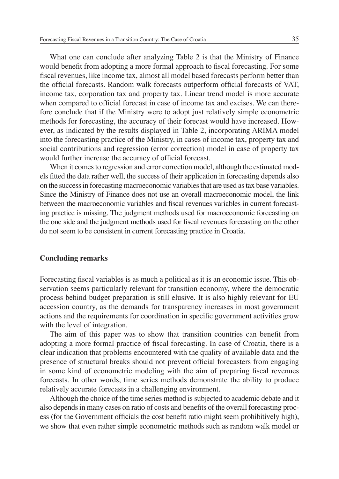What one can conclude after analyzing Table 2 is that the Ministry of Finance would benefit from adopting a more formal approach to fiscal forecasting. For some fiscal revenues, like income tax, almost all model based forecasts perform better than the official forecasts. Random walk forecasts outperform official forecasts of VAT, income tax, corporation tax and property tax. Linear trend model is more accurate when compared to official forecast in case of income tax and excises. We can therefore conclude that if the Ministry were to adopt just relatively simple econometric methods for forecasting, the accuracy of their forecast would have increased. However, as indicated by the results displayed in Table 2, incorporating ARIMA model into the forecasting practice of the Ministry, in cases of income tax, property tax and social contributions and regression (error correction) model in case of property tax would further increase the accuracy of official forecast.

When it comes to regression and error correction model, although the estimated models fi tted the data rather well, the success of their application in forecasting depends also on the success in forecasting macroeconomic variables that are used as tax base variables. Since the Ministry of Finance does not use an overall macroeconomic model, the link between the macroeconomic variables and fiscal revenues variables in current forecasting practice is missing. The judgment methods used for macroeconomic forecasting on the one side and the judgment methods used for fiscal revenues forecasting on the other do not seem to be consistent in current forecasting practice in Croatia.

#### **Concluding remarks**

Forecasting fiscal variables is as much a political as it is an economic issue. This observation seems particularly relevant for transition economy, where the democratic process behind budget preparation is still elusive. It is also highly relevant for EU accession country, as the demands for transparency increases in most government actions and the requirements for coordination in specific government activities grow with the level of integration.

The aim of this paper was to show that transition countries can benefit from adopting a more formal practice of fiscal forecasting. In case of Croatia, there is a clear indication that problems encountered with the quality of available data and the presence of structural breaks should not prevent official forecasters from engaging in some kind of econometric modeling with the aim of preparing fiscal revenues forecasts. In other words, time series methods demonstrate the ability to produce relatively accurate forecasts in a challenging environment.

Although the choice of the time series method is subjected to academic debate and it also depends in many cases on ratio of costs and benefits of the overall forecasting process (for the Government officials the cost benefit ratio might seem prohibitively high), we show that even rather simple econometric methods such as random walk model or